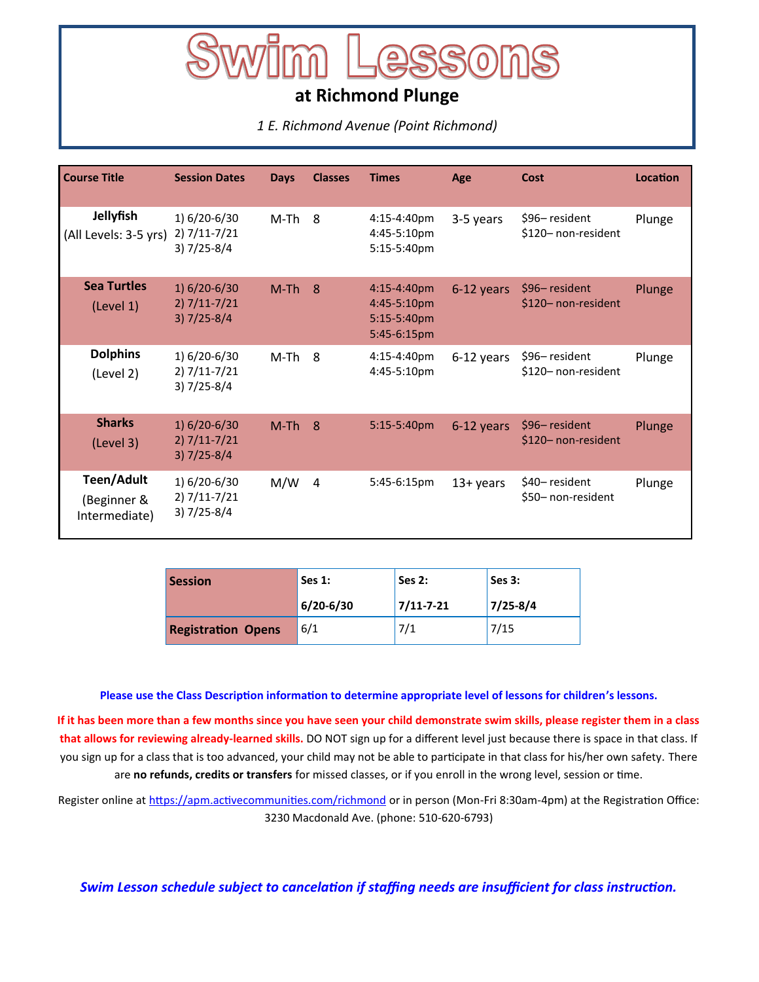# **at Richmond Plunge**

*1 E. Richmond Avenue (Point Richmond)*

| Course Title                                      | <b>Session Dates</b>                                    | <b>Days</b> | <b>Classes</b> | <b>Times</b>                                             | Age          | Cost                                | <b>Location</b> |
|---------------------------------------------------|---------------------------------------------------------|-------------|----------------|----------------------------------------------------------|--------------|-------------------------------------|-----------------|
| Jellyfish<br>(All Levels: 3-5 yrs)                | 1) 6/20-6/30<br>$2) 7/11 - 7/21$<br>$3) 7/25 - 8/4$     | M-Th        | 8              | 4:15-4:40pm<br>4:45-5:10pm<br>5:15-5:40pm                | 3-5 years    | \$96-resident<br>\$120-non-resident | Plunge          |
| <b>Sea Turtles</b><br>(Level 1)                   | $1) 6/20 - 6/30$<br>$2) 7/11 - 7/21$<br>$3) 7/25 - 8/4$ | $M-Th$ 8    |                | 4:15-4:40pm<br>4:45-5:10pm<br>5:15-5:40pm<br>5:45-6:15pm | 6-12 years   | \$96-resident<br>\$120-non-resident | Plunge          |
| <b>Dolphins</b><br>(Level 2)                      | 1) 6/20-6/30<br>2) 7/11-7/21<br>$3) 7/25 - 8/4$         | M-Th        | 8              | 4:15-4:40pm<br>4:45-5:10pm                               | 6-12 years   | \$96-resident<br>\$120-non-resident | Plunge          |
| <b>Sharks</b><br>(Level 3)                        | $1) 6/20 - 6/30$<br>$2) 7/11 - 7/21$<br>$3) 7/25 - 8/4$ | $M-Th$      | 8              | 5:15-5:40pm                                              | 6-12 years   | \$96-resident<br>\$120-non-resident | Plunge          |
| <b>Teen/Adult</b><br>(Beginner &<br>Intermediate) | 1) 6/20-6/30<br>$2) 7/11 - 7/21$<br>$3) 7/25 - 8/4$     | M/W         | 4              | 5:45-6:15pm                                              | $13 + years$ | \$40-resident<br>\$50-non-resident  | Plunge          |

| <b>Session</b>            | Ses $1$ : | Ses 2:          | Ses 3:       |  |
|---------------------------|-----------|-----------------|--------------|--|
|                           | 6/20-6/30 | $7/11 - 7 - 21$ | $7/25 - 8/4$ |  |
| <b>Registration Opens</b> | 6/1       | 7/1             | 7/15         |  |

#### **Please use the Class Description information to determine appropriate level of lessons for children's lessons.**

**If it has been more than a few months since you have seen your child demonstrate swim skills, please register them in a class that allows for reviewing already-learned skills.** DO NOT sign up for a different level just because there is space in that class. If you sign up for a class that is too advanced, your child may not be able to participate in that class for his/her own safety. There are **no refunds, credits or transfers** for missed classes, or if you enroll in the wrong level, session or time.

Register online at [https://apm.activecommunities.com/richmond](https://anc.apm.activecommunities.com/richmond/home?onlineSiteId=0&from_original_cui=true&locale=en-US) or in person (Mon-Fri 8:30am-4pm) at the Registration Office: 3230 Macdonald Ave. (phone: 510-620-6793)

*Swim Lesson schedule subject to cancelation if staffing needs are insufficient for class instruction.*